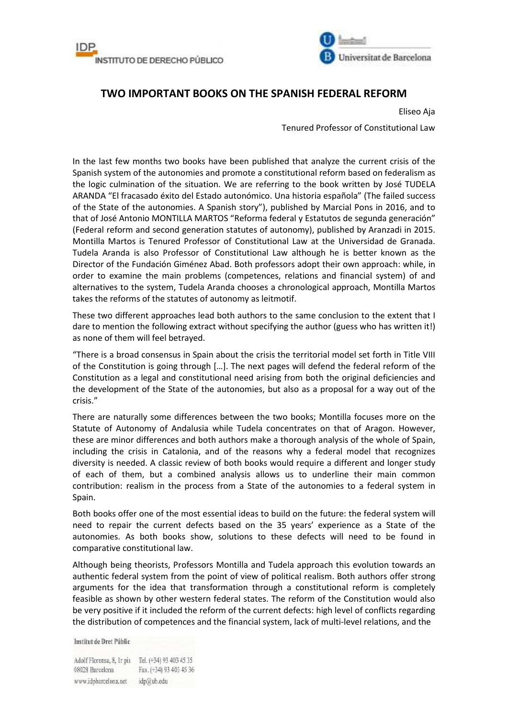



## **TWO IMPORTANT BOOKS ON THE SPANISH FEDERAL REFORM**

Eliseo Aja

Tenured Professor of Constitutional Law

In the last few months two books have been published that analyze the current crisis of the Spanish system of the autonomies and promote a constitutional reform based on federalism as the logic culmination of the situation. We are referring to the book written by José TUDELA ARANDA "El fracasado éxito del Estado autonómico. Una historia española" (The failed success of the State of the autonomies. A Spanish story"), published by Marcial Pons in 2016, and to that of José Antonio MONTILLA MARTOS "Reforma federal y Estatutos de segunda generación" (Federal reform and second generation statutes of autonomy), published by Aranzadi in 2015. Montilla Martos is Tenured Professor of Constitutional Law at the Universidad de Granada. Tudela Aranda is also Professor of Constitutional Law although he is better known as the Director of the Fundación Giménez Abad. Both professors adopt their own approach: while, in order to examine the main problems (competences, relations and financial system) of and alternatives to the system, Tudela Aranda chooses a chronological approach, Montilla Martos takes the reforms of the statutes of autonomy as leitmotif.

These two different approaches lead both authors to the same conclusion to the extent that I dare to mention the following extract without specifying the author (guess who has written it!) as none of them will feel betrayed.

"There is a broad consensus in Spain about the crisis the territorial model set forth in Title VIII of the Constitution is going through […]. The next pages will defend the federal reform of the Constitution as a legal and constitutional need arising from both the original deficiencies and the development of the State of the autonomies, but also as a proposal for a way out of the crisis."

There are naturally some differences between the two books; Montilla focuses more on the Statute of Autonomy of Andalusia while Tudela concentrates on that of Aragon. However, these are minor differences and both authors make a thorough analysis of the whole of Spain, including the crisis in Catalonia, and of the reasons why a federal model that recognizes diversity is needed. A classic review of both books would require a different and longer study of each of them, but a combined analysis allows us to underline their main common contribution: realism in the process from a State of the autonomies to a federal system in Spain.

Both books offer one of the most essential ideas to build on the future: the federal system will need to repair the current defects based on the 35 years' experience as a State of the autonomies. As both books show, solutions to these defects will need to be found in comparative constitutional law.

Although being theorists, Professors Montilla and Tudela approach this evolution towards an authentic federal system from the point of view of political realism. Both authors offer strong arguments for the idea that transformation through a constitutional reform is completely feasible as shown by other western federal states. The reform of the Constitution would also be very positive if it included the reform of the current defects: high level of conflicts regarding the distribution of competences and the financial system, lack of multi-level relations, and the

Institut de Dret Públic

Adolf Florensa, 8, Ir pis Tel. (+34) 93 403 45 35 08028 Barcelona Fax. (+34) 93 403 45 36 www.idpbarcelona.net idp@ub.edu